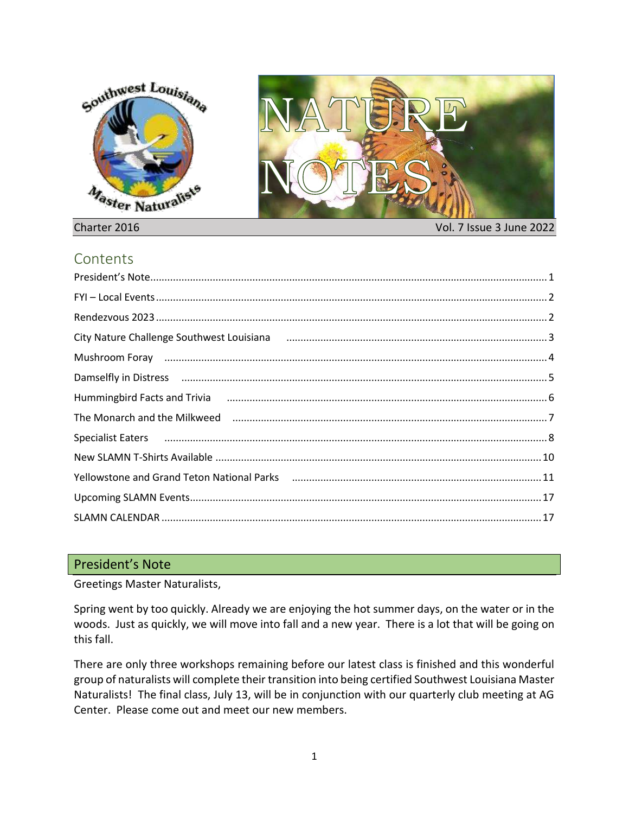



### Charter 2016 Vol. 7 Issue 3 June 2022

# **Contents**

| City Nature Challenge Southwest Louisiana (and the continuum continuum continuum continuum 3)                  |  |
|----------------------------------------------------------------------------------------------------------------|--|
| Mushroom Foray manufactured and the manufactured and the manufactured and the Mushroom Moral and A             |  |
| Damselfly in Distress manufacture and the material control of the control of the control of the control of the |  |
| Hummingbird Facts and Trivia (1990) 1990 March 2007 6 (1990) 6 March 2009 March 2009 March 2009 March 2009 Mar |  |
| The Monarch and the Milkweed manufactured controlled and all the Monarch and the Milkweed manufactured and the |  |
| Specialist Eaters использование и в совможности подавление и подавительно подавительно в совможности в 8       |  |
|                                                                                                                |  |
|                                                                                                                |  |
|                                                                                                                |  |
|                                                                                                                |  |

### <span id="page-0-0"></span>President's Note

Greetings Master Naturalists,

Spring went by too quickly. Already we are enjoying the hot summer days, on the water or in the woods. Just as quickly, we will move into fall and a new year. There is a lot that will be going on this fall.

There are only three workshops remaining before our latest class is finished and this wonderful group of naturalists will complete their transition into being certified Southwest Louisiana Master Naturalists! The final class, July 13, will be in conjunction with our quarterly club meeting at AG Center. Please come out and meet our new members.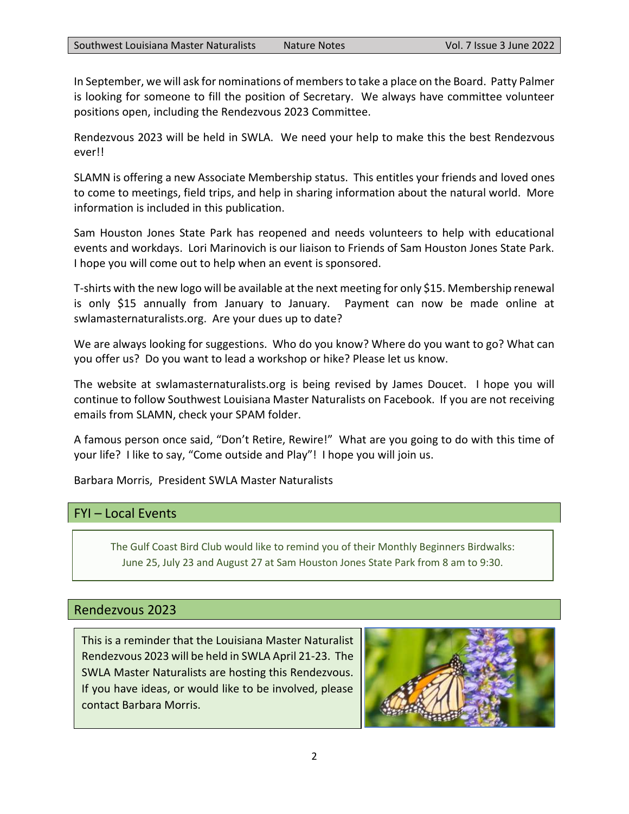In September, we will ask for nominations of members to take a place on the Board. Patty Palmer is looking for someone to fill the position of Secretary. We always have committee volunteer positions open, including the Rendezvous 2023 Committee.

Rendezvous 2023 will be held in SWLA. We need your help to make this the best Rendezvous ever!!

SLAMN is offering a new Associate Membership status. This entitles your friends and loved ones to come to meetings, field trips, and help in sharing information about the natural world. More information is included in this publication.

Sam Houston Jones State Park has reopened and needs volunteers to help with educational events and workdays. Lori Marinovich is our liaison to Friends of Sam Houston Jones State Park. I hope you will come out to help when an event is sponsored.

T-shirts with the new logo will be available at the next meeting for only \$15. Membership renewal is only \$15 annually from January to January. Payment can now be made online at swlamasternaturalists.org. Are your dues up to date?

We are always looking for suggestions. Who do you know? Where do you want to go? What can you offer us? Do you want to lead a workshop or hike? Please let us know.

The website at swlamasternaturalists.org is being revised by James Doucet. I hope you will continue to follow Southwest Louisiana Master Naturalists on Facebook. If you are not receiving emails from SLAMN, check your SPAM folder.

A famous person once said, "Don't Retire, Rewire!" What are you going to do with this time of your life? I like to say, "Come outside and Play"! I hope you will join us.

Barbara Morris, President SWLA Master Naturalists

# <span id="page-1-0"></span>FYI – Local Events

The Gulf Coast Bird Club would like to remind you of their Monthly Beginners Birdwalks: June 25, July 23 and August 27 at Sam Houston Jones State Park from 8 am to 9:30.

# <span id="page-1-1"></span>Rendezvous 2023

This is a reminder that the Louisiana Master Naturalist Rendezvous 2023 will be held in SWLA April 21-23. The SWLA Master Naturalists are hosting this Rendezvous. If you have ideas, or would like to be involved, please contact Barbara Morris.

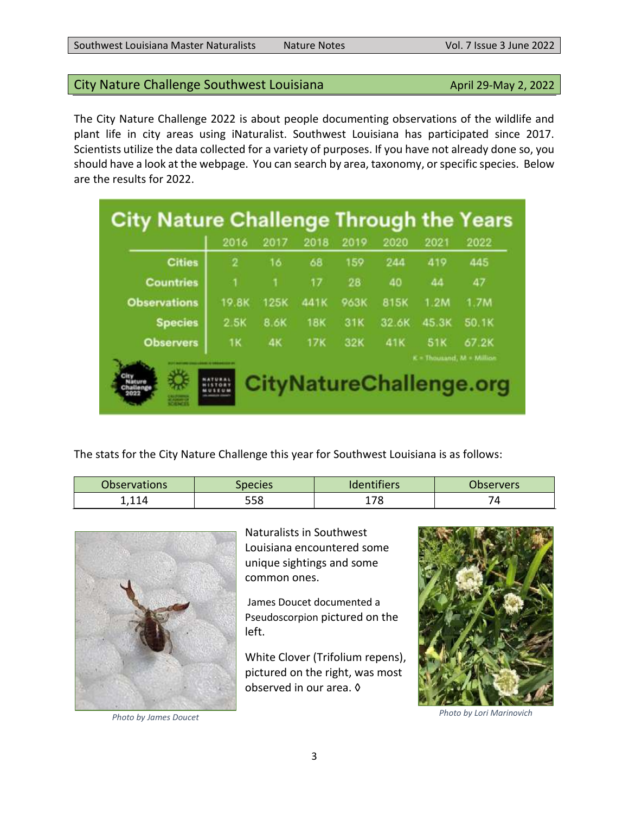are the results for 2022.

| City Nature Challenge Infough the Tears |       |             |            |      |       |       |                           |
|-----------------------------------------|-------|-------------|------------|------|-------|-------|---------------------------|
|                                         | 2016  | 2017        | 2018       | 2019 | 2020  | 2021  | 2022                      |
| <b>Cities</b>                           | 2     | 16          | 68         | 159  | 244   | 419   | 445                       |
| <b>Countries</b>                        |       | 1           | 17         | 28   | 40    | 44    | 47                        |
| <b>Observations</b>                     | 19.8K | <b>125K</b> | 441K       | 963K | 815K  | 1.2M  | 1.7M                      |
| <b>Species</b>                          | 2.5K  | 8.6K        | <b>18K</b> | 31K  | 32.6K | 45.3K | <b>50.1K</b>              |
| <b>Observers</b>                        | 1K    | 4K          | <b>17K</b> | 32K  | 41K   | 51K   | 67.2K                     |
|                                         |       |             |            |      |       |       | K = Thousand, M = Million |

<span id="page-2-0"></span>The City Nature Challenge 2022 is about people documenting observations of the wildlife and plant life in city areas using iNaturalist. Southwest Louisiana has participated since 2017. Scientists utilize the data collected for a variety of purposes. If you have not already done so, you should have a look at the webpage. You can search by area, taxonomy, or specific species. Below

The stats for the City Nature Challenge this year for Southwest Louisiana is as follows:

| <b>Observations</b> | <i>Species</i> | ldentifiers | Observers |
|---------------------|----------------|-------------|-----------|
| - 11                | 558            | ᄀ           | ⊶         |



Naturalists in Southwest Louisiana encountered some unique sightings and some common ones.

James Doucet documented a Pseudoscorpion pictured on the left.

White Clover (Trifolium repens), pictured on the right, was most observed in our area. ◊

*Photo by James Doucet Photo by Lori Marinovich*

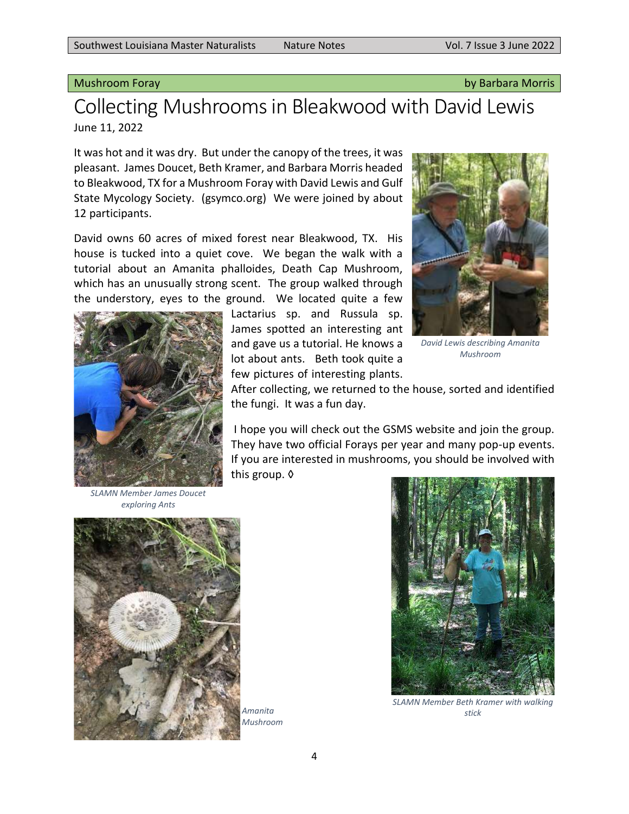### <span id="page-3-0"></span>Mushroom Foray by Barbara Morris

# Collecting Mushrooms in Bleakwood with David Lewis June 11, 2022

It was hot and it was dry. But under the canopy of the trees, it was pleasant. James Doucet, Beth Kramer, and Barbara Morris headed to Bleakwood, TX for a Mushroom Foray with David Lewis and Gulf State Mycology Society. (gsymco.org) We were joined by about 12 participants.

David owns 60 acres of mixed forest near Bleakwood, TX. His house is tucked into a quiet cove. We began the walk with a tutorial about an Amanita phalloides, Death Cap Mushroom, which has an unusually strong scent. The group walked through the understory, eyes to the ground. We located quite a few



Lactarius sp. and Russula sp. James spotted an interesting ant and gave us a tutorial. He knows a lot about ants. Beth took quite a few pictures of interesting plants.



*David Lewis describing Amanita Mushroom*

After collecting, we returned to the house, sorted and identified the fungi. It was a fun day.

I hope you will check out the GSMS website and join the group. They have two official Forays per year and many pop-up events. If you are interested in mushrooms, you should be involved with this group. ◊

*SLAMN Member James Doucet exploring Ants*



*Mushroom*



*SLAMN Member Beth Kramer with walking Amanita stick*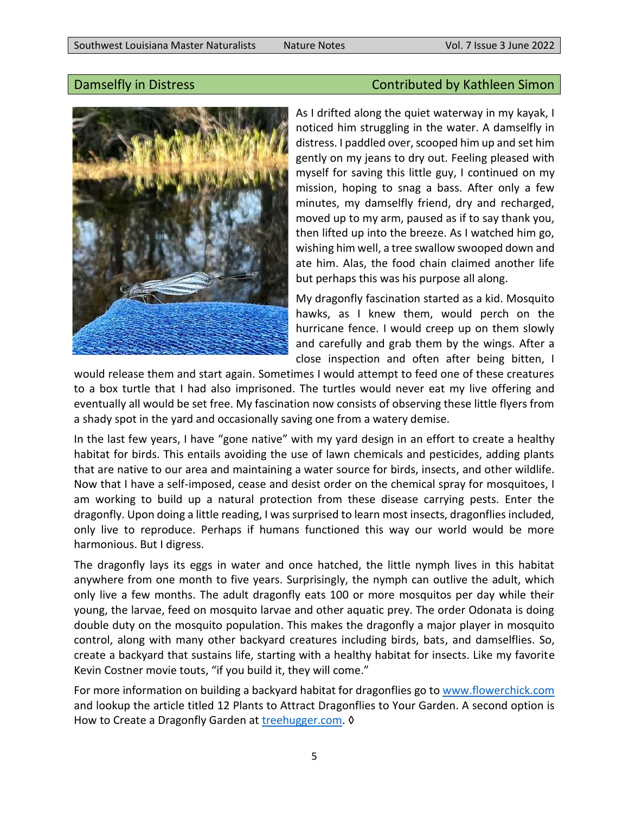

# <span id="page-4-0"></span>Damselfly in Distress Contributed by Kathleen Simon

As I drifted along the quiet waterway in my kayak, I noticed him struggling in the water. A damselfly in distress. I paddled over, scooped him up and set him gently on my jeans to dry out. Feeling pleased with myself for saving this little guy, I continued on my mission, hoping to snag a bass. After only a few minutes, my damselfly friend, dry and recharged, moved up to my arm, paused as if to say thank you, then lifted up into the breeze. As I watched him go, wishing him well, a tree swallow swooped down and ate him. Alas, the food chain claimed another life but perhaps this was his purpose all along.

My dragonfly fascination started as a kid. Mosquito hawks, as I knew them, would perch on the hurricane fence. I would creep up on them slowly and carefully and grab them by the wings. After a close inspection and often after being bitten, I

would release them and start again. Sometimes I would attempt to feed one of these creatures to a box turtle that I had also imprisoned. The turtles would never eat my live offering and eventually all would be set free. My fascination now consists of observing these little flyers from a shady spot in the yard and occasionally saving one from a watery demise.

In the last few years, I have "gone native" with my yard design in an effort to create a healthy habitat for birds. This entails avoiding the use of lawn chemicals and pesticides, adding plants that are native to our area and maintaining a water source for birds, insects, and other wildlife. Now that I have a self-imposed, cease and desist order on the chemical spray for mosquitoes, I am working to build up a natural protection from these disease carrying pests. Enter the dragonfly. Upon doing a little reading, I was surprised to learn most insects, dragonflies included, only live to reproduce. Perhaps if humans functioned this way our world would be more harmonious. But I digress.

The dragonfly lays its eggs in water and once hatched, the little nymph lives in this habitat anywhere from one month to five years. Surprisingly, the nymph can outlive the adult, which only live a few months. The adult dragonfly eats 100 or more mosquitos per day while their young, the larvae, feed on mosquito larvae and other aquatic prey. The order Odonata is doing double duty on the mosquito population. This makes the dragonfly a major player in mosquito control, along with many other backyard creatures including birds, bats, and damselflies. So, create a backyard that sustains life, starting with a healthy habitat for insects. Like my favorite Kevin Costner movie touts, "if you build it, they will come."

For more information on building a backyard habitat for dragonflies go to [www.flowerchick.com](https://www.flowerchick.com/) and lookup the article titled 12 Plants to Attract Dragonflies to Your Garden. A second option is How to Create a Dragonfly Garden at [treehugger.com.](https://www.treehugger.com/how-create-dragonfly-garden-4863982) 0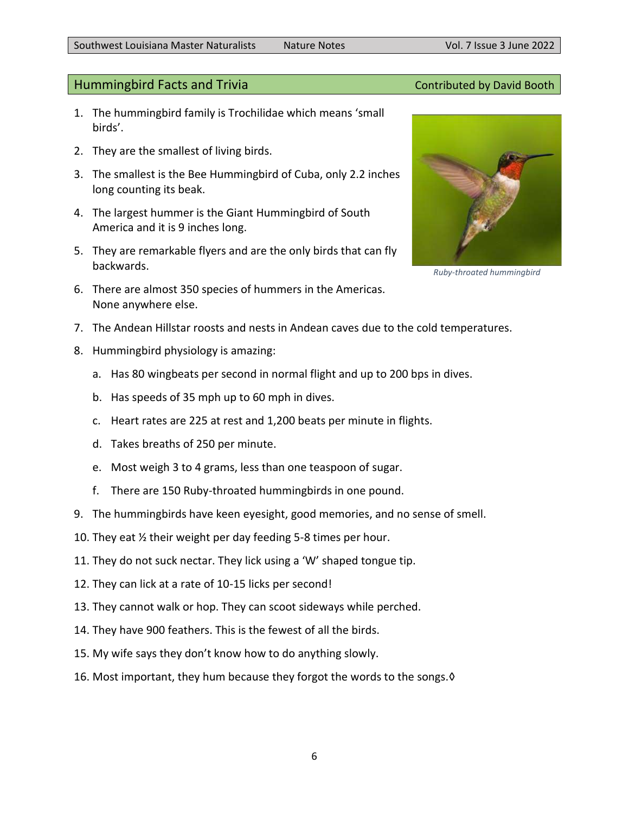### <span id="page-5-0"></span>Hummingbird Facts and Trivia **Contributed by David Booth** Contributed by David Booth

- 1. The hummingbird family is Trochilidae which means 'small birds'.
- 2. They are the smallest of living birds.
- 3. The smallest is the Bee Hummingbird of Cuba, only 2.2 inches long counting its beak.
- 4. The largest hummer is the Giant Hummingbird of South America and it is 9 inches long.
- 5. They are remarkable flyers and are the only birds that can fly backwards.
- 6. There are almost 350 species of hummers in the Americas. None anywhere else.
- 7. The Andean Hillstar roosts and nests in Andean caves due to the cold temperatures.
- 8. Hummingbird physiology is amazing:
	- a. Has 80 wingbeats per second in normal flight and up to 200 bps in dives.
	- b. Has speeds of 35 mph up to 60 mph in dives.
	- c. Heart rates are 225 at rest and 1,200 beats per minute in flights.
	- d. Takes breaths of 250 per minute.
	- e. Most weigh 3 to 4 grams, less than one teaspoon of sugar.
	- f. There are 150 Ruby-throated hummingbirds in one pound.
- 9. The hummingbirds have keen eyesight, good memories, and no sense of smell.
- 10. They eat ½ their weight per day feeding 5-8 times per hour.
- 11. They do not suck nectar. They lick using a 'W' shaped tongue tip.
- 12. They can lick at a rate of 10-15 licks per second!
- 13. They cannot walk or hop. They can scoot sideways while perched.
- 14. They have 900 feathers. This is the fewest of all the birds.
- 15. My wife says they don't know how to do anything slowly.
- 16. Most important, they hum because they forgot the words to the songs.◊



*Ruby-throated hummingbird*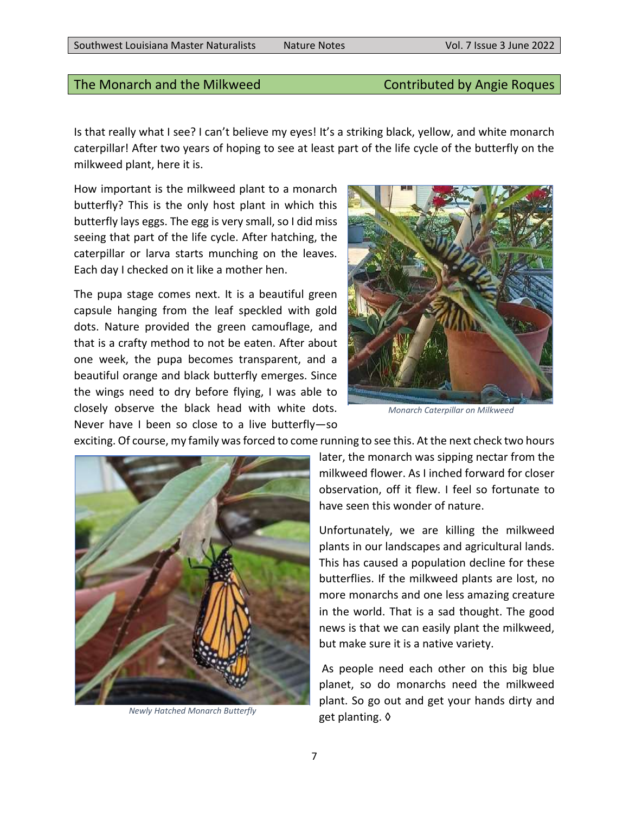### <span id="page-6-0"></span>The Monarch and the Milkweed Contributed by Angie Roques

Is that really what I see? I can't believe my eyes! It's a striking black, yellow, and white monarch caterpillar! After two years of hoping to see at least part of the life cycle of the butterfly on the milkweed plant, here it is.

How important is the milkweed plant to a monarch butterfly? This is the only host plant in which this butterfly lays eggs. The egg is very small, so I did miss seeing that part of the life cycle. After hatching, the caterpillar or larva starts munching on the leaves. Each day I checked on it like a mother hen.

The pupa stage comes next. It is a beautiful green capsule hanging from the leaf speckled with gold dots. Nature provided the green camouflage, and that is a crafty method to not be eaten. After about one week, the pupa becomes transparent, and a beautiful orange and black butterfly emerges. Since the wings need to dry before flying, I was able to closely observe the black head with white dots. Never have I been so close to a live butterfly—so



*Monarch Caterpillar on Milkweed*

exciting. Of course, my family was forced to come running to see this. At the next check two hours



*Newly Hatched Monarch Butterfly*

later, the monarch was sipping nectar from the milkweed flower. As I inched forward for closer observation, off it flew. I feel so fortunate to have seen this wonder of nature.

Unfortunately, we are killing the milkweed plants in our landscapes and agricultural lands. This has caused a population decline for these butterflies. If the milkweed plants are lost, no more monarchs and one less amazing creature in the world. That is a sad thought. The good news is that we can easily plant the milkweed, but make sure it is a native variety.

As people need each other on this big blue planet, so do monarchs need the milkweed plant. So go out and get your hands dirty and get planting. ◊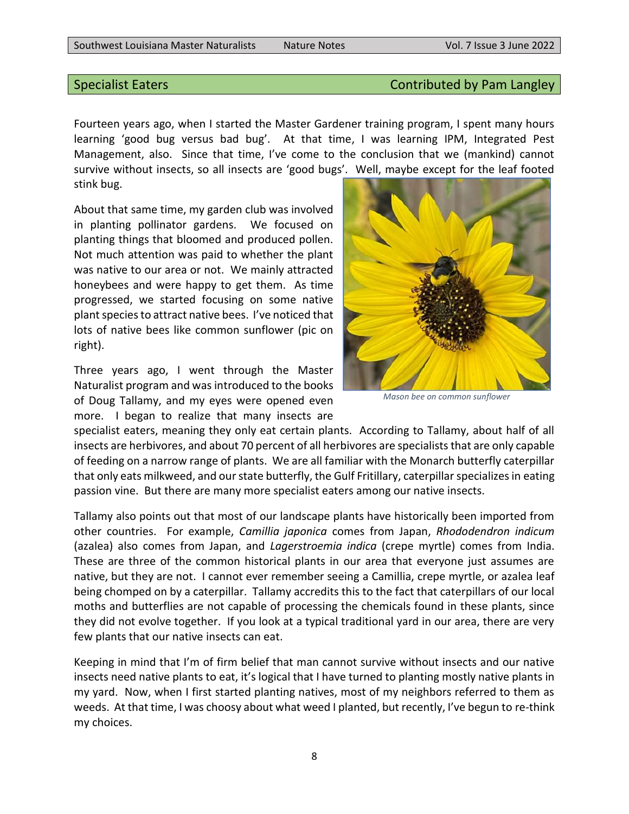### <span id="page-7-0"></span>Specialist Eaters Contributed by Pam Langley

Fourteen years ago, when I started the Master Gardener training program, I spent many hours learning 'good bug versus bad bug'. At that time, I was learning IPM, Integrated Pest Management, also. Since that time, I've come to the conclusion that we (mankind) cannot survive without insects, so all insects are 'good bugs'. Well, maybe except for the leaf footed stink bug.

About that same time, my garden club was involved in planting pollinator gardens. We focused on planting things that bloomed and produced pollen. Not much attention was paid to whether the plant was native to our area or not. We mainly attracted honeybees and were happy to get them. As time progressed, we started focusing on some native plant species to attract native bees. I've noticed that lots of native bees like common sunflower (pic on right).

Three years ago, I went through the Master Naturalist program and was introduced to the books of Doug Tallamy, and my eyes were opened even more. I began to realize that many insects are



*Mason bee on common sunflower*

specialist eaters, meaning they only eat certain plants. According to Tallamy, about half of all insects are herbivores, and about 70 percent of all herbivores are specialists that are only capable of feeding on a narrow range of plants. We are all familiar with the Monarch butterfly caterpillar that only eats milkweed, and our state butterfly, the Gulf Fritillary, caterpillar specializes in eating passion vine. But there are many more specialist eaters among our native insects.

Tallamy also points out that most of our landscape plants have historically been imported from other countries. For example, *Camillia japonica* comes from Japan, *Rhododendron indicum*  (azalea) also comes from Japan, and *Lagerstroemia indica* (crepe myrtle) comes from India. These are three of the common historical plants in our area that everyone just assumes are native, but they are not. I cannot ever remember seeing a Camillia, crepe myrtle, or azalea leaf being chomped on by a caterpillar. Tallamy accredits this to the fact that caterpillars of our local moths and butterflies are not capable of processing the chemicals found in these plants, since they did not evolve together. If you look at a typical traditional yard in our area, there are very few plants that our native insects can eat.

Keeping in mind that I'm of firm belief that man cannot survive without insects and our native insects need native plants to eat, it's logical that I have turned to planting mostly native plants in my yard. Now, when I first started planting natives, most of my neighbors referred to them as weeds. At that time, I was choosy about what weed I planted, but recently, I've begun to re-think my choices.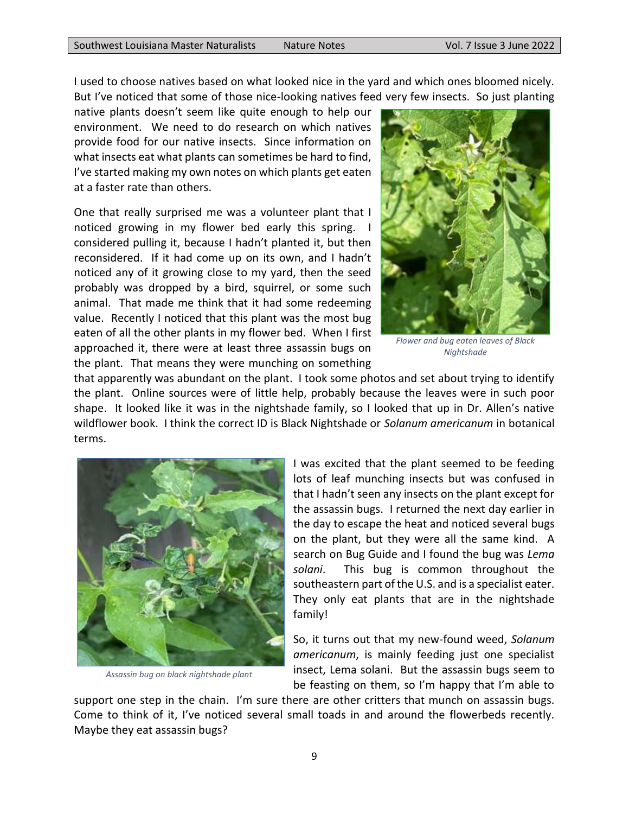I used to choose natives based on what looked nice in the yard and which ones bloomed nicely. But I've noticed that some of those nice-looking natives feed very few insects. So just planting

native plants doesn't seem like quite enough to help our environment. We need to do research on which natives provide food for our native insects. Since information on what insects eat what plants can sometimes be hard to find, I've started making my own notes on which plants get eaten at a faster rate than others.

One that really surprised me was a volunteer plant that I noticed growing in my flower bed early this spring. considered pulling it, because I hadn't planted it, but then reconsidered. If it had come up on its own, and I hadn't noticed any of it growing close to my yard, then the seed probably was dropped by a bird, squirrel, or some such animal. That made me think that it had some redeeming value. Recently I noticed that this plant was the most bug eaten of all the other plants in my flower bed. When I first approached it, there were at least three assassin bugs on the plant. That means they were munching on something



*Flower and bug eaten leaves of Black Nightshade*

that apparently was abundant on the plant. I took some photos and set about trying to identify the plant. Online sources were of little help, probably because the leaves were in such poor shape. It looked like it was in the nightshade family, so I looked that up in Dr. Allen's native wildflower book. I think the correct ID is Black Nightshade or *Solanum americanum* in botanical terms.



*Assassin bug on black nightshade plant*

I was excited that the plant seemed to be feeding lots of leaf munching insects but was confused in that I hadn't seen any insects on the plant except for the assassin bugs. I returned the next day earlier in the day to escape the heat and noticed several bugs on the plant, but they were all the same kind. A search on Bug Guide and I found the bug was *Lema solani*. This bug is common throughout the southeastern part of the U.S. and is a specialist eater. They only eat plants that are in the nightshade family!

So, it turns out that my new-found weed, *Solanum americanum*, is mainly feeding just one specialist insect, Lema solani. But the assassin bugs seem to be feasting on them, so I'm happy that I'm able to

support one step in the chain. I'm sure there are other critters that munch on assassin bugs. Come to think of it, I've noticed several small toads in and around the flowerbeds recently. Maybe they eat assassin bugs?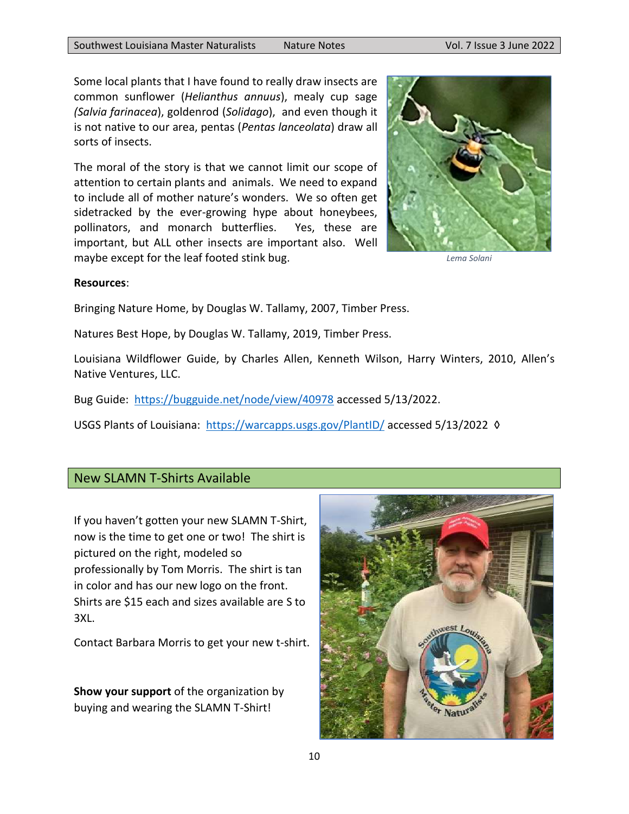Some local plants that I have found to really draw insects are common sunflower (*Helianthus annuus*), mealy cup sage *(Salvia farinacea*), goldenrod (*Solidago*), and even though it is not native to our area, pentas (*Pentas lanceolata*) draw all sorts of insects.

The moral of the story is that we cannot limit our scope of attention to certain plants and animals. We need to expand to include all of mother nature's wonders. We so often get sidetracked by the ever-growing hype about honeybees, pollinators, and monarch butterflies. Yes, these are important, but ALL other insects are important also. Well maybe except for the leaf footed stink bug.



*Lema Solani*

### **Resources**:

Bringing Nature Home, by Douglas W. Tallamy, 2007, Timber Press.

Natures Best Hope, by Douglas W. Tallamy, 2019, Timber Press.

Louisiana Wildflower Guide, by Charles Allen, Kenneth Wilson, Harry Winters, 2010, Allen's Native Ventures, LLC.

Bug Guide:<https://bugguide.net/node/view/40978> accessed 5/13/2022.

USGS Plants of Louisiana: <https://warcapps.usgs.gov/PlantID/> accessed 5/13/2022 ◊

### <span id="page-9-0"></span>New SLAMN T-Shirts Available

If you haven't gotten your new SLAMN T-Shirt, now is the time to get one or two! The shirt is pictured on the right, modeled so professionally by Tom Morris. The shirt is tan in color and has our new logo on the front. Shirts are \$15 each and sizes available are S to 3XL.

Contact Barbara Morris to get your new t-shirt.

**Show your support** of the organization by buying and wearing the SLAMN T-Shirt!

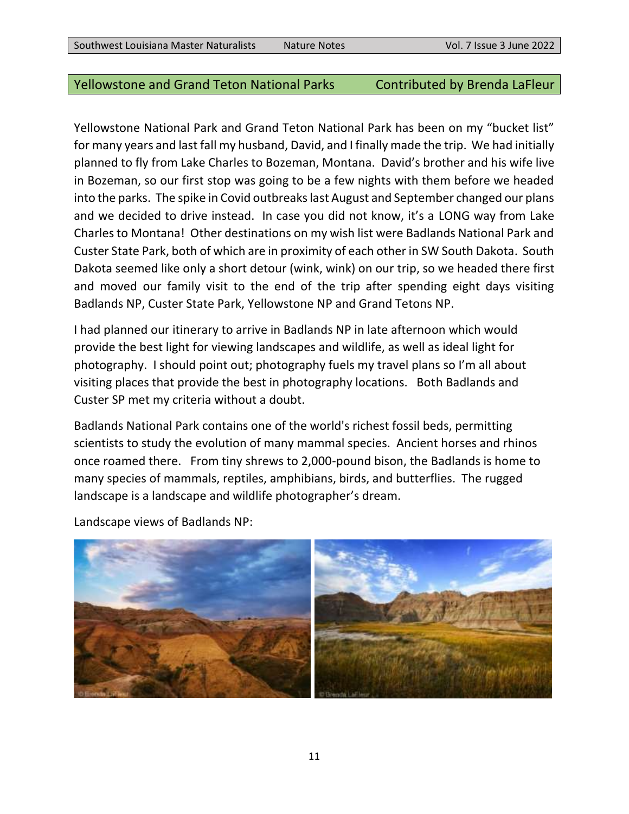### <span id="page-10-0"></span>Yellowstone and Grand Teton National Parks Contributed by Brenda LaFleur

Yellowstone National Park and Grand Teton National Park has been on my "bucket list" for many years and last fall my husband, David, and I finally made the trip. We had initially planned to fly from Lake Charles to Bozeman, Montana. David's brother and his wife live in Bozeman, so our first stop was going to be a few nights with them before we headed into the parks. The spike in Covid outbreaks last August and September changed our plans and we decided to drive instead. In case you did not know, it's a LONG way from Lake Charles to Montana! Other destinations on my wish list were Badlands National Park and Custer State Park, both of which are in proximity of each other in SW South Dakota. South Dakota seemed like only a short detour (wink, wink) on our trip, so we headed there first and moved our family visit to the end of the trip after spending eight days visiting Badlands NP, Custer State Park, Yellowstone NP and Grand Tetons NP.

I had planned our itinerary to arrive in Badlands NP in late afternoon which would provide the best light for viewing landscapes and wildlife, as well as ideal light for photography. I should point out; photography fuels my travel plans so I'm all about visiting places that provide the best in photography locations. Both Badlands and Custer SP met my criteria without a doubt.

Badlands National Park contains one of the world's richest fossil beds, permitting scientists to study the evolution of many mammal species. Ancient horses and rhinos once roamed there. From tiny shrews to 2,000-pound bison, the Badlands is home to many species of mammals, reptiles, amphibians, birds, and butterflies. The rugged landscape is a landscape and wildlife photographer's dream.

Landscape views of Badlands NP:

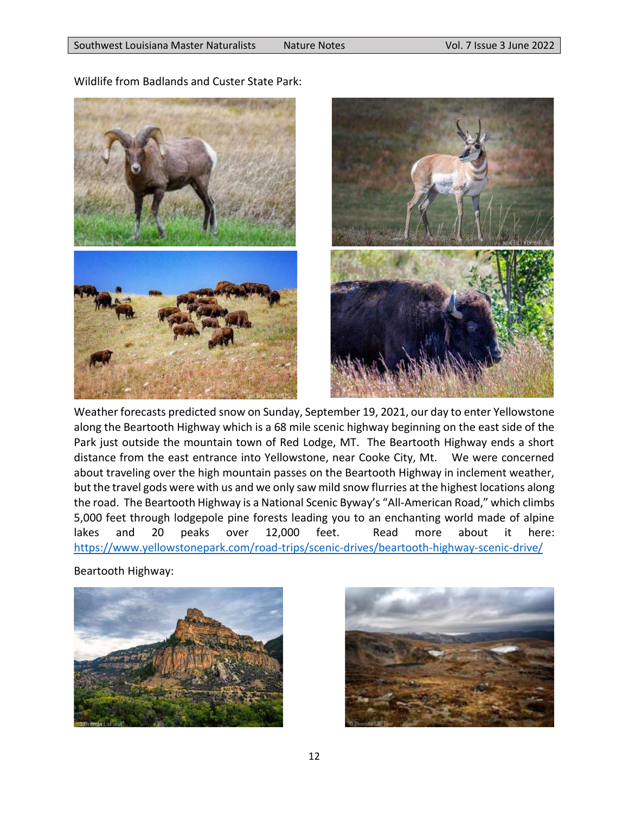

Wildlife from Badlands and Custer State Park:



Weather forecasts predicted snow on Sunday, September 19, 2021, our day to enter Yellowstone along the Beartooth Highway which is a 68 mile scenic highway beginning on the east side of the Park just outside the mountain town of Red Lodge, MT. The Beartooth Highway ends a short distance from the east entrance into Yellowstone, near Cooke City, Mt. We were concerned about traveling over the high mountain passes on the Beartooth Highway in inclement weather, but the travel gods were with us and we only saw mild snow flurries at the highest locations along the road. The Beartooth Highway is a National Scenic Byway's "All-American Road," which climbs 5,000 feet through lodgepole pine forests leading you to an enchanting world made of alpine lakes and 20 peaks over 12,000 feet. Read more about it here: <https://www.yellowstonepark.com/road-trips/scenic-drives/beartooth-highway-scenic-drive/>

Beartooth Highway:



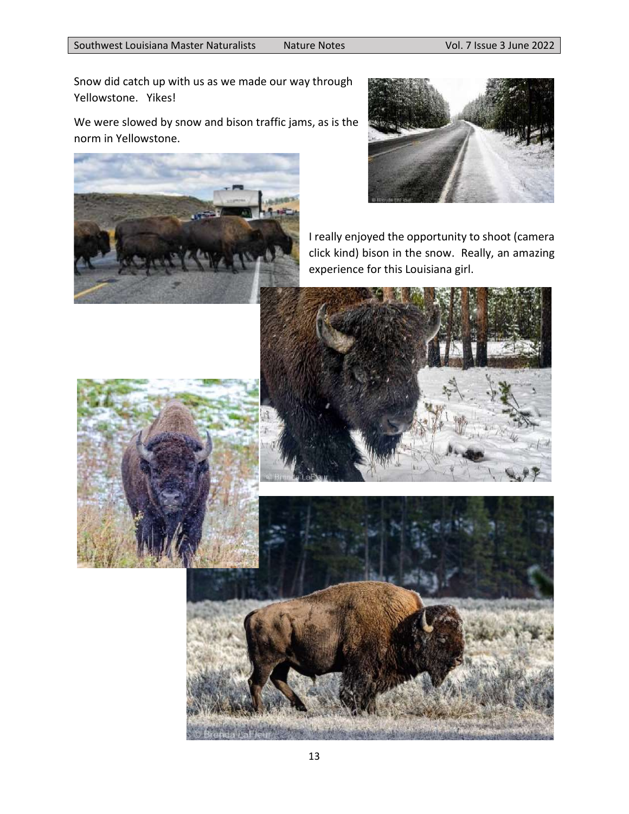Snow did catch up with us as we made our way through Yellowstone. Yikes!

We were slowed by snow and bison traffic jams, as is the norm in Yellowstone.





I really enjoyed the opportunity to shoot (camera click kind) bison in the snow. Really, an amazing experience for this Louisiana girl.





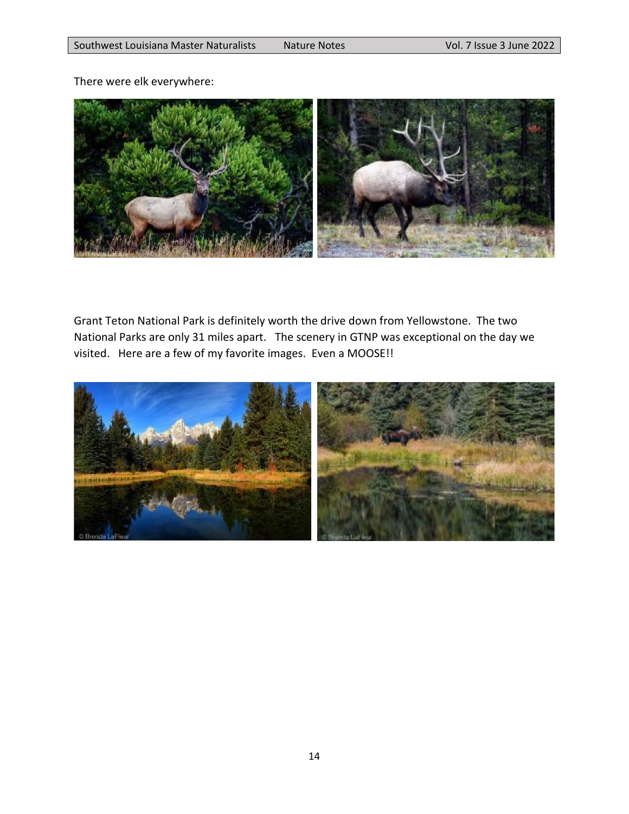There were elk everywhere:



Grant Teton National Park is definitely worth the drive down from Yellowstone. The two National Parks are only 31 miles apart. The scenery in GTNP was exceptional on the day we visited. Here are a few of my favorite images. Even a MOOSE!!

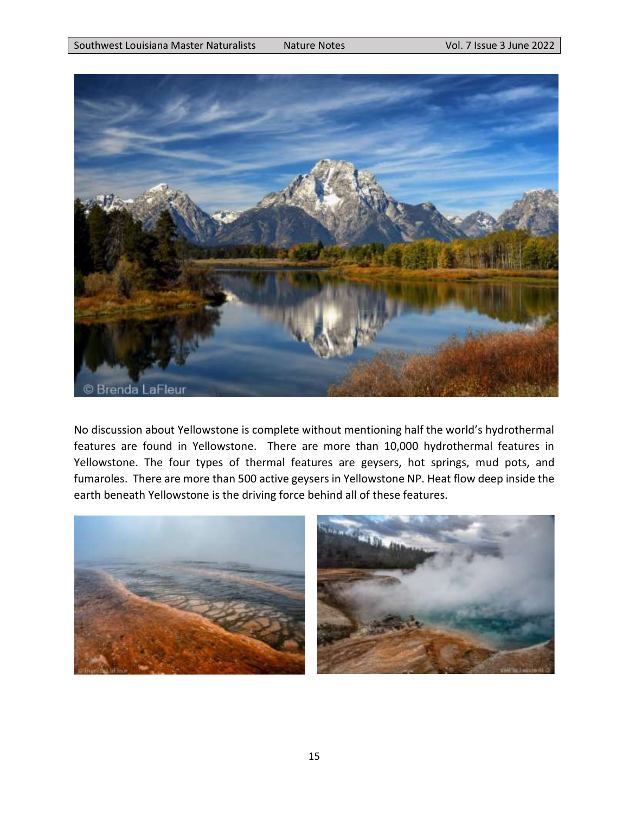

No discussion about Yellowstone is complete without mentioning half the world's hydrothermal features are found in Yellowstone. There are more than 10,000 hydrothermal features in Yellowstone. The four types of thermal features are geysers, hot springs, mud pots, and fumaroles. There are more than 500 active geysers in Yellowstone NP. Heat flow deep inside the earth beneath Yellowstone is the driving force behind all of these features.

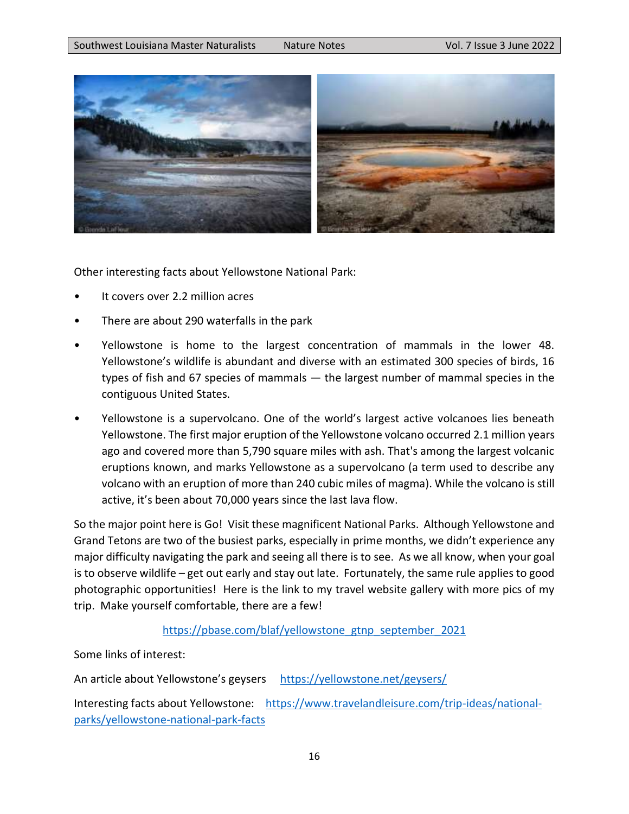

Other interesting facts about Yellowstone National Park:

- It covers over 2.2 million acres
- There are about 290 waterfalls in the park
- Yellowstone is home to the largest concentration of mammals in the lower 48. Yellowstone's wildlife is abundant and diverse with an estimated 300 species of birds, 16 types of fish and 67 species of mammals — the largest number of mammal species in the contiguous United States.
- Yellowstone is a supervolcano. One of the world's largest active volcanoes lies beneath Yellowstone. The first major eruption of the Yellowstone volcano occurred 2.1 million years ago and covered more than 5,790 square miles with ash. That's among the largest volcanic eruptions known, and marks Yellowstone as a supervolcano (a term used to describe any volcano with an eruption of more than 240 cubic miles of magma). While the volcano is still active, it's been about 70,000 years since the last lava flow.

So the major point here is Go! Visit these magnificent National Parks. Although Yellowstone and Grand Tetons are two of the busiest parks, especially in prime months, we didn't experience any major difficulty navigating the park and seeing all there is to see. As we all know, when your goal is to observe wildlife – get out early and stay out late. Fortunately, the same rule applies to good photographic opportunities! Here is the link to my travel website gallery with more pics of my trip. Make yourself comfortable, there are a few!

### [https://pbase.com/blaf/yellowstone\\_gtnp\\_september\\_2021](https://pbase.com/blaf/yellowstone_gtnp_september_2021)

Some links of interest:

An article about Yellowstone's geysers <https://yellowstone.net/geysers/>

Interesting facts about Yellowstone: [https://www.travelandleisure.com/trip-ideas/national](https://www.travelandleisure.com/trip-ideas/national-parks/yellowstone-national-park-facts)[parks/yellowstone-national-park-facts](https://www.travelandleisure.com/trip-ideas/national-parks/yellowstone-national-park-facts)